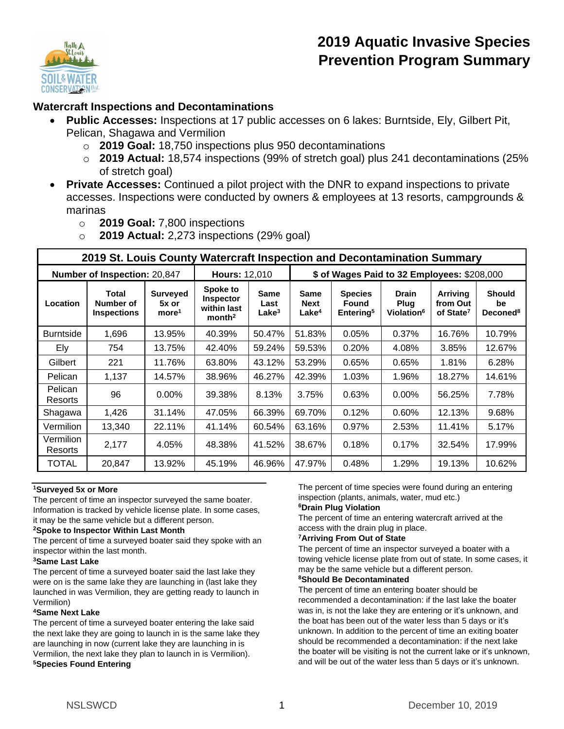

# **2019 Aquatic Invasive Species Prevention Program Summary**

## **Watercraft Inspections and Decontaminations**

- **Public Accesses:** Inspections at 17 public accesses on 6 lakes: Burntside, Ely, Gilbert Pit, Pelican, Shagawa and Vermilion
	- o **2019 Goal:** 18,750 inspections plus 950 decontaminations
	- o **2019 Actual:** 18,574 inspections (99% of stretch goal) plus 241 decontaminations (25% of stretch goal)
- **Private Accesses:** Continued a pilot project with the DNR to expand inspections to private accesses. Inspections were conducted by owners & employees at 13 resorts, campgrounds & marinas
	- o **2019 Goal:** 7,800 inspections
	- o **2019 Actual:** 2,273 inspections (29% goal)

| 2019 St. Louis County Watercraft Inspection and Decontamination Summary |                                          |                                               |                                                                   |                                   |                                                 |                                                         |                                                |                                                      |                                             |
|-------------------------------------------------------------------------|------------------------------------------|-----------------------------------------------|-------------------------------------------------------------------|-----------------------------------|-------------------------------------------------|---------------------------------------------------------|------------------------------------------------|------------------------------------------------------|---------------------------------------------|
| Number of Inspection: 20,847                                            |                                          |                                               | <b>Hours: 12,010</b>                                              |                                   | \$ of Wages Paid to 32 Employees: \$208,000     |                                                         |                                                |                                                      |                                             |
| Location                                                                | Total<br>Number of<br><b>Inspections</b> | <b>Surveyed</b><br>5x or<br>more <sup>1</sup> | Spoke to<br><b>Inspector</b><br>within last<br>month <sup>2</sup> | Same<br>Last<br>Lake <sup>3</sup> | <b>Same</b><br><b>Next</b><br>Lake <sup>4</sup> | <b>Species</b><br><b>Found</b><br>Entering <sup>5</sup> | <b>Drain</b><br>Plug<br>Violation <sup>6</sup> | <b>Arriving</b><br>from Out<br>of State <sup>7</sup> | <b>Should</b><br>be<br>Deconed <sup>8</sup> |
| <b>Burntside</b>                                                        | 1,696                                    | 13.95%                                        | 40.39%                                                            | 50.47%                            | 51.83%                                          | 0.05%                                                   | 0.37%                                          | 16.76%                                               | 10.79%                                      |
| Ely                                                                     | 754                                      | 13.75%                                        | 42.40%                                                            | 59.24%                            | 59.53%                                          | 0.20%                                                   | 4.08%                                          | 3.85%                                                | 12.67%                                      |
| Gilbert                                                                 | 221                                      | 11.76%                                        | 63.80%                                                            | 43.12%                            | 53.29%                                          | 0.65%                                                   | 0.65%                                          | 1.81%                                                | 6.28%                                       |
| Pelican                                                                 | 1,137                                    | 14.57%                                        | 38.96%                                                            | 46.27%                            | 42.39%                                          | 1.03%                                                   | 1.96%                                          | 18.27%                                               | 14.61%                                      |
| Pelican<br>Resorts                                                      | 96                                       | $0.00\%$                                      | 39.38%                                                            | 8.13%                             | 3.75%                                           | 0.63%                                                   | $0.00\%$                                       | 56.25%                                               | 7.78%                                       |
| Shagawa                                                                 | 1,426                                    | 31.14%                                        | 47.05%                                                            | 66.39%                            | 69.70%                                          | 0.12%                                                   | 0.60%                                          | 12.13%                                               | 9.68%                                       |
| Vermilion                                                               | 13,340                                   | 22.11%                                        | 41.14%                                                            | 60.54%                            | 63.16%                                          | 0.97%                                                   | 2.53%                                          | 11.41%                                               | 5.17%                                       |
| Vermilion<br>Resorts                                                    | 2,177                                    | 4.05%                                         | 48.38%                                                            | 41.52%                            | 38.67%                                          | 0.18%                                                   | 0.17%                                          | 32.54%                                               | 17.99%                                      |
| <b>TOTAL</b>                                                            | 20,847                                   | 13.92%                                        | 45.19%                                                            | 46.96%                            | 47.97%                                          | 0.48%                                                   | 1.29%                                          | 19.13%                                               | 10.62%                                      |

### **<sup>1</sup>Surveyed 5x or More**

The percent of time an inspector surveyed the same boater. Information is tracked by vehicle license plate. In some cases, it may be the same vehicle but a different person.

### **<sup>2</sup>Spoke to Inspector Within Last Month**

The percent of time a surveyed boater said they spoke with an inspector within the last month.

### **<sup>3</sup>Same Last Lake**

The percent of time a surveyed boater said the last lake they were on is the same lake they are launching in (last lake they launched in was Vermilion, they are getting ready to launch in Vermilion)

### **<sup>4</sup>Same Next Lake**

The percent of time a surveyed boater entering the lake said the next lake they are going to launch in is the same lake they are launching in now (current lake they are launching in is Vermilion, the next lake they plan to launch in is Vermilion). **<sup>5</sup>Species Found Entering** 

The percent of time species were found during an entering inspection (plants, animals, water, mud etc.)

#### **<sup>6</sup>Drain Plug Violation**

The percent of time an entering watercraft arrived at the access with the drain plug in place.

### **<sup>7</sup>Arriving From Out of State**

The percent of time an inspector surveyed a boater with a towing vehicle license plate from out of state. In some cases, it may be the same vehicle but a different person.

#### **<sup>8</sup>Should Be Decontaminated**

The percent of time an entering boater should be recommended a decontamination: if the last lake the boater was in, is not the lake they are entering or it's unknown, and the boat has been out of the water less than 5 days or it's unknown. In addition to the percent of time an exiting boater should be recommended a decontamination: if the next lake the boater will be visiting is not the current lake or it's unknown, and will be out of the water less than 5 days or it's unknown.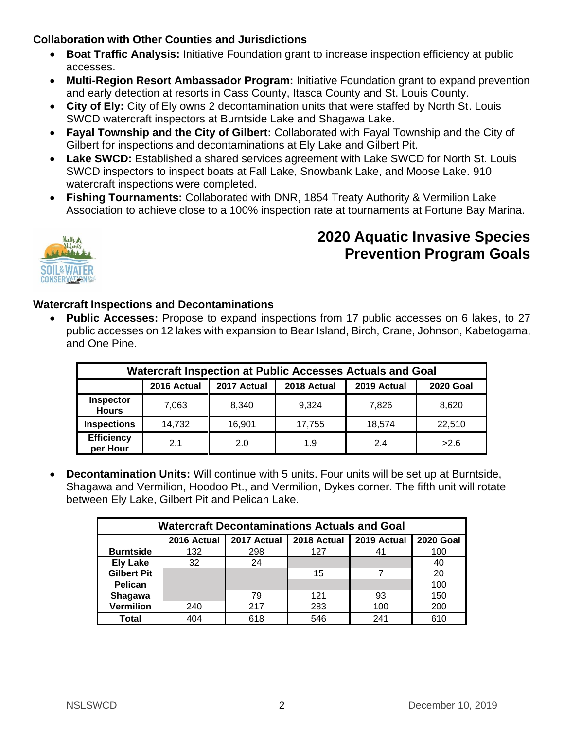## **Collaboration with Other Counties and Jurisdictions**

- **Boat Traffic Analysis:** Initiative Foundation grant to increase inspection efficiency at public accesses.
- **Multi-Region Resort Ambassador Program:** Initiative Foundation grant to expand prevention and early detection at resorts in Cass County, Itasca County and St. Louis County.
- **City of Ely:** City of Ely owns 2 decontamination units that were staffed by North St. Louis SWCD watercraft inspectors at Burntside Lake and Shagawa Lake.
- **Fayal Township and the City of Gilbert:** Collaborated with Fayal Township and the City of Gilbert for inspections and decontaminations at Ely Lake and Gilbert Pit.
- **Lake SWCD:** Established a shared services agreement with Lake SWCD for North St. Louis SWCD inspectors to inspect boats at Fall Lake, Snowbank Lake, and Moose Lake. 910 watercraft inspections were completed.
- **Fishing Tournaments:** Collaborated with DNR, 1854 Treaty Authority & Vermilion Lake Association to achieve close to a 100% inspection rate at tournaments at Fortune Bay Marina.



# **2020 Aquatic Invasive Species Prevention Program Goals**

## **Watercraft Inspections and Decontaminations**

• **Public Accesses:** Propose to expand inspections from 17 public accesses on 6 lakes, to 27 public accesses on 12 lakes with expansion to Bear Island, Birch, Crane, Johnson, Kabetogama, and One Pine.

| Watercraft Inspection at Public Accesses Actuals and Goal |             |             |             |             |                  |  |  |
|-----------------------------------------------------------|-------------|-------------|-------------|-------------|------------------|--|--|
|                                                           | 2016 Actual | 2017 Actual | 2018 Actual | 2019 Actual | <b>2020 Goal</b> |  |  |
| <b>Inspector</b><br><b>Hours</b>                          | 7,063       | 8,340       | 9,324       | 7.826       | 8,620            |  |  |
| <b>Inspections</b>                                        | 14,732      | 16,901      | 17,755      | 18,574      | 22,510           |  |  |
| <b>Efficiency</b><br>per Hour                             | 2.1         | 2.0         | 1.9         | 2.4         | >2.6             |  |  |

• **Decontamination Units:** Will continue with 5 units. Four units will be set up at Burntside, Shagawa and Vermilion, Hoodoo Pt., and Vermilion, Dykes corner. The fifth unit will rotate between Ely Lake, Gilbert Pit and Pelican Lake.

| <b>Watercraft Decontaminations Actuals and Goal</b> |             |             |             |             |                  |  |  |
|-----------------------------------------------------|-------------|-------------|-------------|-------------|------------------|--|--|
|                                                     | 2016 Actual | 2017 Actual | 2018 Actual | 2019 Actual | <b>2020 Goal</b> |  |  |
| <b>Burntside</b>                                    | 132         | 298         | 127         | 41          | 100              |  |  |
| <b>Ely Lake</b>                                     | 32          | 24          |             |             | 40               |  |  |
| <b>Gilbert Pit</b>                                  |             |             | 15          |             | 20               |  |  |
| Pelican                                             |             |             |             |             | 100              |  |  |
| Shagawa                                             |             | 79          | 121         | 93          | 150              |  |  |
| <b>Vermilion</b>                                    | 240         | 217         | 283         | 100         | 200              |  |  |
| <b>Total</b>                                        | 404         | 618         | 546         | 241         | 610              |  |  |